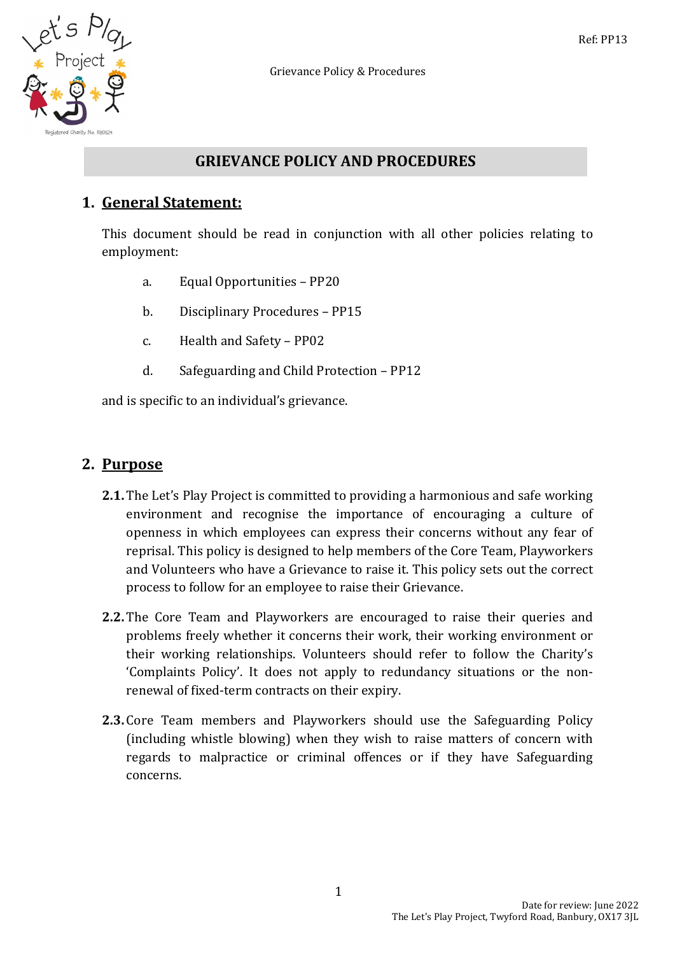

# **GRIEVANCE POLICY AND PROCEDURES**

## **1. General Statement:**

This document should be read in conjunction with all other policies relating to employment:

- a. Equal Opportunities PP20
- b. Disciplinary Procedures PP15
- c. Health and Safety PP02
- d. Safeguarding and Child Protection PP12

and is specific to an individual's grievance.

## **2. Purpose**

- **2.1.** The Let's Play Project is committed to providing a harmonious and safe working environment and recognise the importance of encouraging a culture of openness in which employees can express their concerns without any fear of reprisal. This policy is designed to help members of the Core Team, Playworkers and Volunteers who have a Grievance to raise it. This policy sets out the correct process to follow for an employee to raise their Grievance.
- **2.2.** The Core Team and Playworkers are encouraged to raise their queries and problems freely whether it concerns their work, their working environment or their working relationships. Volunteers should refer to follow the Charity's 'Complaints Policy'. It does not apply to redundancy situations or the nonrenewal of fixed-term contracts on their expiry.
- **2.3.** Core Team members and Playworkers should use the Safeguarding Policy (including whistle blowing) when they wish to raise matters of concern with regards to malpractice or criminal offences or if they have Safeguarding concerns.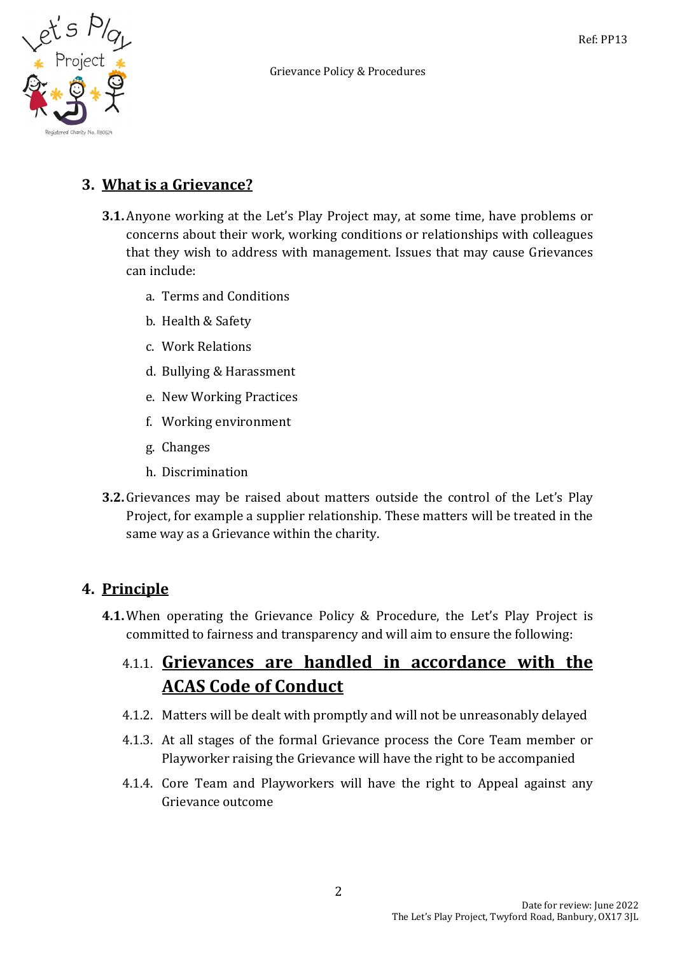

# **3. What is a Grievance?**

- **3.1.**Anyone working at the Let's Play Project may, at some time, have problems or concerns about their work, working conditions or relationships with colleagues that they wish to address with management. Issues that may cause Grievances can include:
	- a. Terms and Conditions
	- b. Health & Safety
	- c. Work Relations
	- d. Bullying & Harassment
	- e. New Working Practices
	- f. Working environment
	- g. Changes
	- h. Discrimination
- **3.2.** Grievances may be raised about matters outside the control of the Let's Play Project, for example a supplier relationship. These matters will be treated in the same way as a Grievance within the charity.

## **4. Principle**

**4.1.**When operating the Grievance Policy & Procedure, the Let's Play Project is committed to fairness and transparency and will aim to ensure the following:

# 4.1.1. **Grievances are handled in accordance with the ACAS Code of Conduct**

- 4.1.2. Matters will be dealt with promptly and will not be unreasonably delayed
- 4.1.3. At all stages of the formal Grievance process the Core Team member or Playworker raising the Grievance will have the right to be accompanied
- 4.1.4. Core Team and Playworkers will have the right to Appeal against any Grievance outcome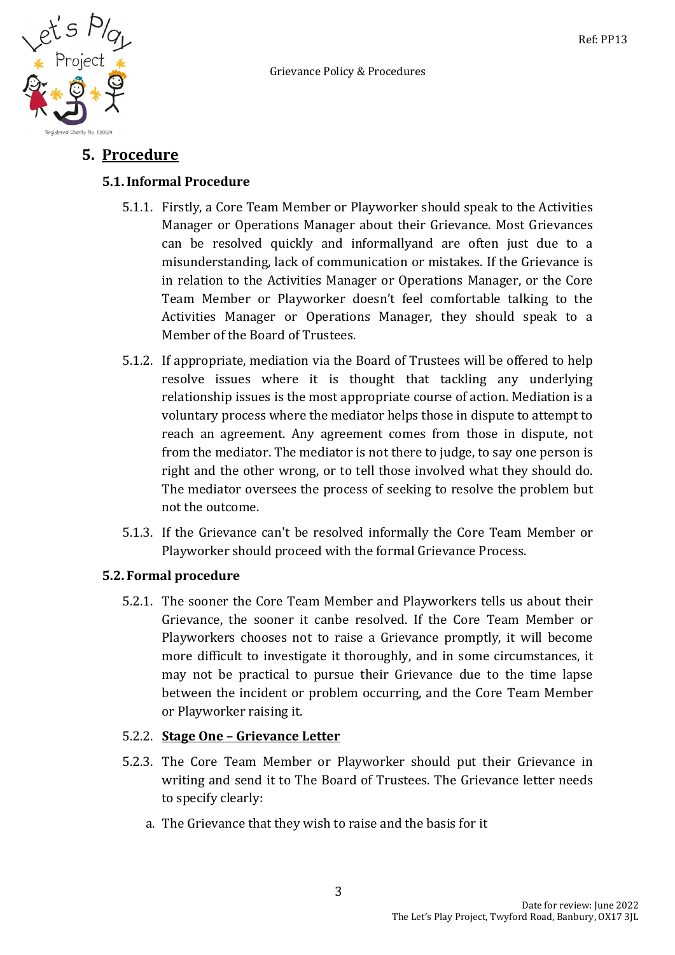

## **5. Procedure**

## **5.1.Informal Procedure**

- 5.1.1. Firstly, a Core Team Member or Playworker should speak to the Activities Manager or Operations Manager about their Grievance. Most Grievances can be resolved quickly and informallyand are often just due to a misunderstanding, lack of communication or mistakes. If the Grievance is in relation to the Activities Manager or Operations Manager, or the Core Team Member or Playworker doesn't feel comfortable talking to the Activities Manager or Operations Manager, they should speak to a Member of the Board of Trustees.
- 5.1.2. If appropriate, mediation via the Board of Trustees will be offered to help resolve issues where it is thought that tackling any underlying relationship issues is the most appropriate course of action. Mediation is a voluntary process where the mediator helps those in dispute to attempt to reach an agreement. Any agreement comes from those in dispute, not from the mediator. The mediator is not there to judge, to say one person is right and the other wrong, or to tell those involved what they should do. The mediator oversees the process of seeking to resolve the problem but not the outcome.
- 5.1.3. If the Grievance can't be resolved informally the Core Team Member or Playworker should proceed with the formal Grievance Process.

### **5.2. Formal procedure**

5.2.1. The sooner the Core Team Member and Playworkers tells us about their Grievance, the sooner it canbe resolved. If the Core Team Member or Playworkers chooses not to raise a Grievance promptly, it will become more difficult to investigate it thoroughly, and in some circumstances, it may not be practical to pursue their Grievance due to the time lapse between the incident or problem occurring, and the Core Team Member or Playworker raising it.

### 5.2.2. **Stage One – Grievance Letter**

- 5.2.3. The Core Team Member or Playworker should put their Grievance in writing and send it to The Board of Trustees. The Grievance letter needs to specify clearly:
	- a. The Grievance that they wish to raise and the basis for it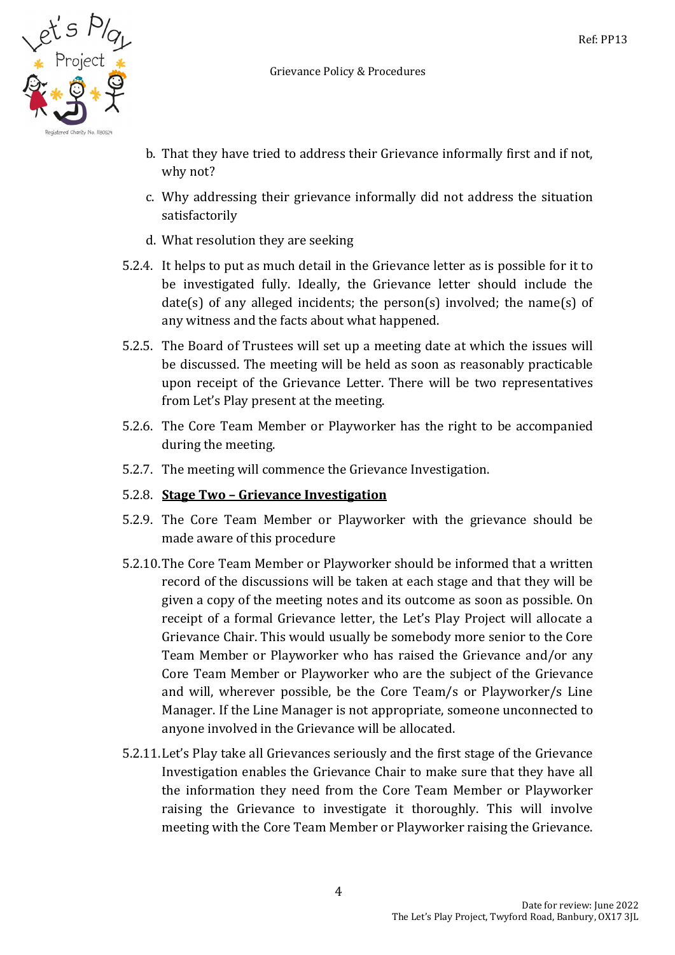



- b. That they have tried to address their Grievance informally first and if not, why not?
- c. Why addressing their grievance informally did not address the situation satisfactorily
- d. What resolution they are seeking
- 5.2.4. It helps to put as much detail in the Grievance letter as is possible for it to be investigated fully. Ideally, the Grievance letter should include the date(s) of any alleged incidents; the person(s) involved; the name(s) of any witness and the facts about what happened.
- 5.2.5. The Board of Trustees will set up a meeting date at which the issues will be discussed. The meeting will be held as soon as reasonably practicable upon receipt of the Grievance Letter. There will be two representatives from Let's Play present at the meeting.
- 5.2.6. The Core Team Member or Playworker has the right to be accompanied during the meeting.
- 5.2.7. The meeting will commence the Grievance Investigation.
- 5.2.8. **Stage Two Grievance Investigation**
- 5.2.9. The Core Team Member or Playworker with the grievance should be made aware of this procedure
- 5.2.10.The Core Team Member or Playworker should be informed that a written record of the discussions will be taken at each stage and that they will be given a copy of the meeting notes and its outcome as soon as possible. On receipt of a formal Grievance letter, the Let's Play Project will allocate a Grievance Chair. This would usually be somebody more senior to the Core Team Member or Playworker who has raised the Grievance and/or any Core Team Member or Playworker who are the subject of the Grievance and will, wherever possible, be the Core Team/s or Playworker/s Line Manager. If the Line Manager is not appropriate, someone unconnected to anyone involved in the Grievance will be allocated.
- 5.2.11.Let's Play take all Grievances seriously and the first stage of the Grievance Investigation enables the Grievance Chair to make sure that they have all the information they need from the Core Team Member or Playworker raising the Grievance to investigate it thoroughly. This will involve meeting with the Core Team Member or Playworker raising the Grievance.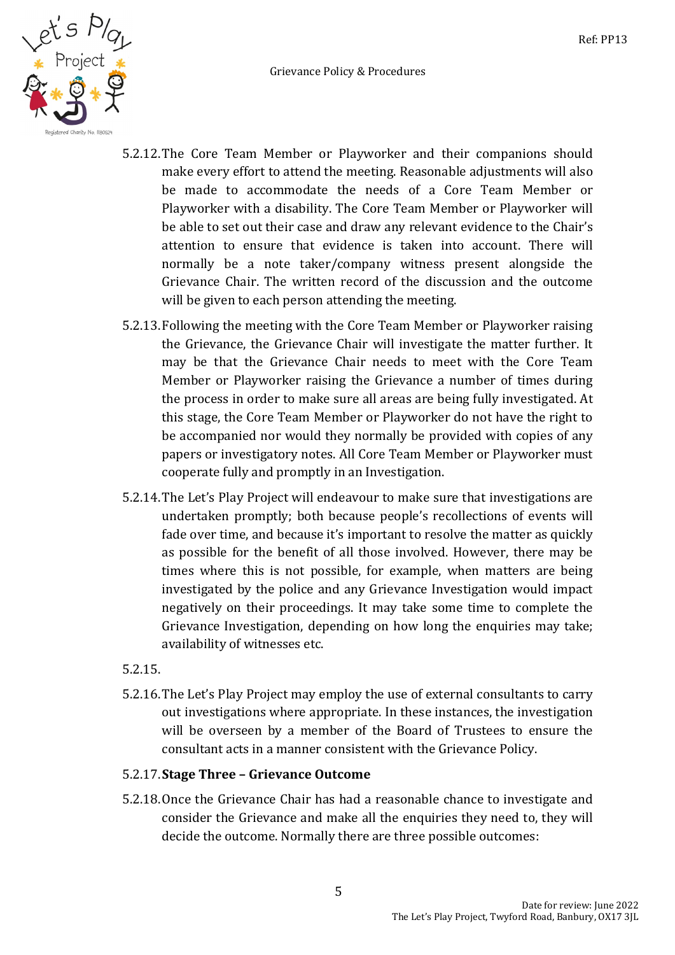

- 5.2.12.The Core Team Member or Playworker and their companions should make every effort to attend the meeting. Reasonable adjustments will also be made to accommodate the needs of a Core Team Member or Playworker with a disability. The Core Team Member or Playworker will be able to set out their case and draw any relevant evidence to the Chair's attention to ensure that evidence is taken into account. There will normally be a note taker/company witness present alongside the Grievance Chair. The written record of the discussion and the outcome will be given to each person attending the meeting.
- 5.2.13.Following the meeting with the Core Team Member or Playworker raising the Grievance, the Grievance Chair will investigate the matter further. It may be that the Grievance Chair needs to meet with the Core Team Member or Playworker raising the Grievance a number of times during the process in order to make sure all areas are being fully investigated. At this stage, the Core Team Member or Playworker do not have the right to be accompanied nor would they normally be provided with copies of any papers or investigatory notes. All Core Team Member or Playworker must cooperate fully and promptly in an Investigation.
- 5.2.14.The Let's Play Project will endeavour to make sure that investigations are undertaken promptly; both because people's recollections of events will fade over time, and because it's important to resolve the matter as quickly as possible for the benefit of all those involved. However, there may be times where this is not possible, for example, when matters are being investigated by the police and any Grievance Investigation would impact negatively on their proceedings. It may take some time to complete the Grievance Investigation, depending on how long the enquiries may take; availability of witnesses etc.

### 5.2.15.

5.2.16.The Let's Play Project may employ the use of external consultants to carry out investigations where appropriate. In these instances, the investigation will be overseen by a member of the Board of Trustees to ensure the consultant acts in a manner consistent with the Grievance Policy.

### 5.2.17.**Stage Three – Grievance Outcome**

5.2.18.Once the Grievance Chair has had a reasonable chance to investigate and consider the Grievance and make all the enquiries they need to, they will decide the outcome. Normally there are three possible outcomes: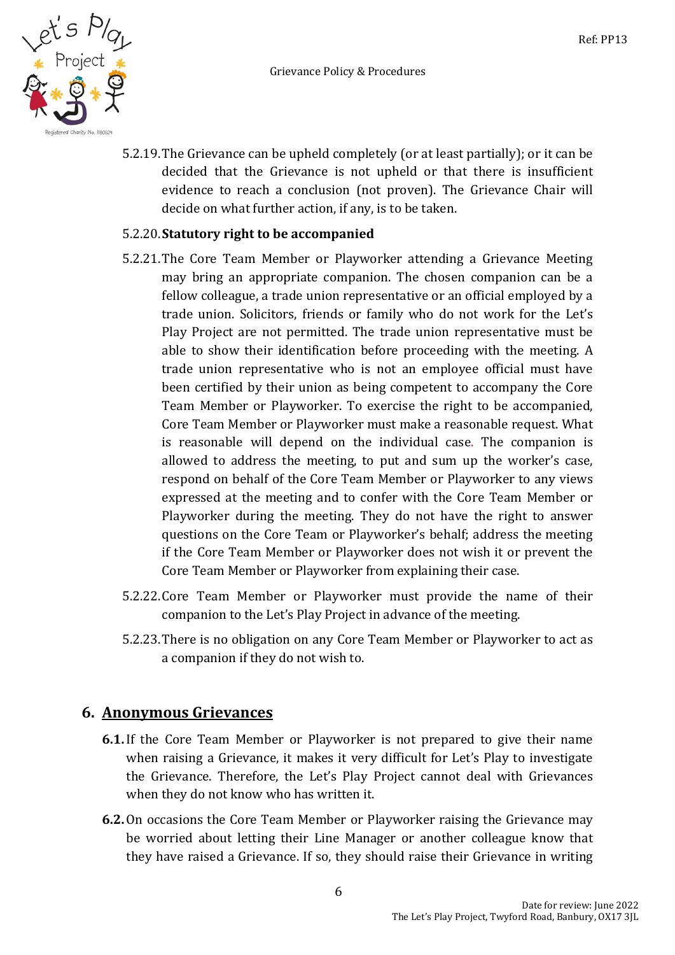5.2.19.The Grievance can be upheld completely (or at least partially); or it can be decided that the Grievance is not upheld or that there is insufficient evidence to reach a conclusion (not proven). The Grievance Chair will decide on what further action, if any, is to be taken.

#### 5.2.20.**Statutory right to be accompanied**

- 5.2.21.The Core Team Member or Playworker attending a Grievance Meeting may bring an appropriate companion. The chosen companion can be a fellow colleague, a trade union representative or an official employed by a trade union. Solicitors, friends or family who do not work for the Let's Play Project are not permitted. The trade union representative must be able to show their identification before proceeding with the meeting. A trade union representative who is not an employee official must have been certified by their union as being competent to accompany the Core Team Member or Playworker. To exercise the right to be accompanied, Core Team Member or Playworker must make a reasonable request. What is reasonable will depend on the individual case. The companion is allowed to address the meeting, to put and sum up the worker's case, respond on behalf of the Core Team Member or Playworker to any views expressed at the meeting and to confer with the Core Team Member or Playworker during the meeting. They do not have the right to answer questions on the Core Team or Playworker's behalf; address the meeting if the Core Team Member or Playworker does not wish it or prevent the Core Team Member or Playworker from explaining their case.
- 5.2.22.Core Team Member or Playworker must provide the name of their companion to the Let's Play Project in advance of the meeting.
- 5.2.23.There is no obligation on any Core Team Member or Playworker to act as a companion if they do not wish to.

### **6. Anonymous Grievances**

- **6.1.**If the Core Team Member or Playworker is not prepared to give their name when raising a Grievance, it makes it very difficult for Let's Play to investigate the Grievance. Therefore, the Let's Play Project cannot deal with Grievances when they do not know who has written it.
- **6.2.**On occasions the Core Team Member or Playworker raising the Grievance may be worried about letting their Line Manager or another colleague know that they have raised a Grievance. If so, they should raise their Grievance in writing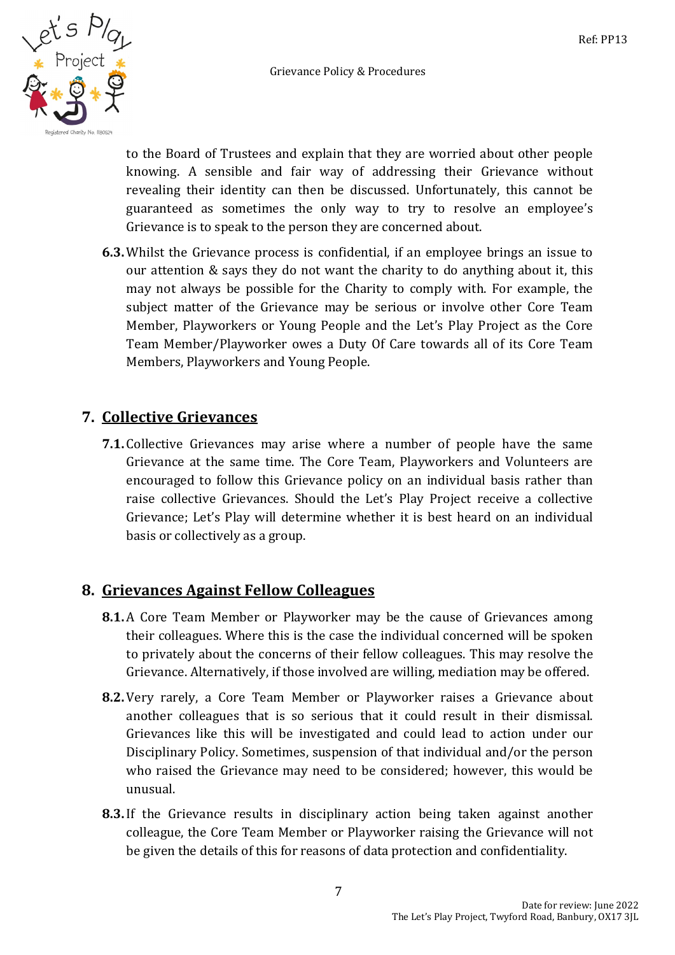

to the Board of Trustees and explain that they are worried about other people knowing. A sensible and fair way of addressing their Grievance without revealing their identity can then be discussed. Unfortunately, this cannot be guaranteed as sometimes the only way to try to resolve an employee's Grievance is to speak to the person they are concerned about.

**6.3.**Whilst the Grievance process is confidential, if an employee brings an issue to our attention & says they do not want the charity to do anything about it, this may not always be possible for the Charity to comply with. For example, the subject matter of the Grievance may be serious or involve other Core Team Member, Playworkers or Young People and the Let's Play Project as the Core Team Member/Playworker owes a Duty Of Care towards all of its Core Team Members, Playworkers and Young People.

## **7. Collective Grievances**

**7.1.** Collective Grievances may arise where a number of people have the same Grievance at the same time. The Core Team, Playworkers and Volunteers are encouraged to follow this Grievance policy on an individual basis rather than raise collective Grievances. Should the Let's Play Project receive a collective Grievance; Let's Play will determine whether it is best heard on an individual basis or collectively as a group.

## **8. Grievances Against Fellow Colleagues**

- **8.1.**A Core Team Member or Playworker may be the cause of Grievances among their colleagues. Where this is the case the individual concerned will be spoken to privately about the concerns of their fellow colleagues. This may resolve the Grievance. Alternatively, if those involved are willing, mediation may be offered.
- **8.2.** Very rarely, a Core Team Member or Playworker raises a Grievance about another colleagues that is so serious that it could result in their dismissal. Grievances like this will be investigated and could lead to action under our Disciplinary Policy. Sometimes, suspension of that individual and/or the person who raised the Grievance may need to be considered; however, this would be unusual.
- **8.3.**If the Grievance results in disciplinary action being taken against another colleague, the Core Team Member or Playworker raising the Grievance will not be given the details of this for reasons of data protection and confidentiality.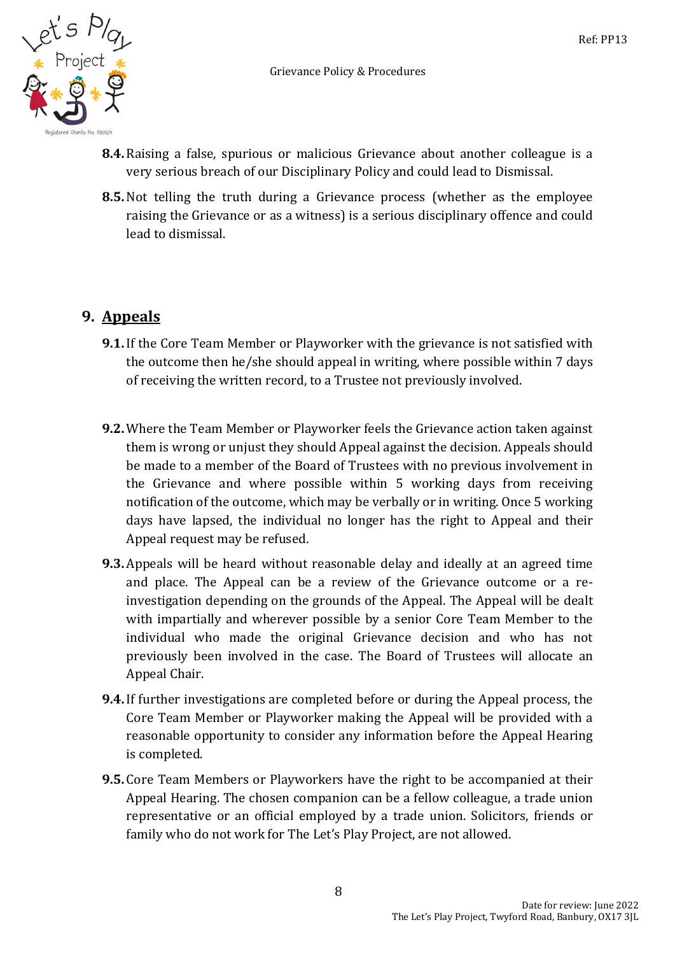



- **8.4.**Raising a false, spurious or malicious Grievance about another colleague is a very serious breach of our Disciplinary Policy and could lead to Dismissal.
- **8.5.**Not telling the truth during a Grievance process (whether as the employee raising the Grievance or as a witness) is a serious disciplinary offence and could lead to dismissal.

# **9. Appeals**

- **9.1.**If the Core Team Member or Playworker with the grievance is not satisfied with the outcome then he/she should appeal in writing, where possible within 7 days of receiving the written record, to a Trustee not previously involved.
- **9.2.**Where the Team Member or Playworker feels the Grievance action taken against them is wrong or unjust they should Appeal against the decision. Appeals should be made to a member of the Board of Trustees with no previous involvement in the Grievance and where possible within 5 working days from receiving notification of the outcome, which may be verbally or in writing. Once 5 working days have lapsed, the individual no longer has the right to Appeal and their Appeal request may be refused.
- **9.3.**Appeals will be heard without reasonable delay and ideally at an agreed time and place. The Appeal can be a review of the Grievance outcome or a reinvestigation depending on the grounds of the Appeal. The Appeal will be dealt with impartially and wherever possible by a senior Core Team Member to the individual who made the original Grievance decision and who has not previously been involved in the case. The Board of Trustees will allocate an Appeal Chair.
- **9.4.**If further investigations are completed before or during the Appeal process, the Core Team Member or Playworker making the Appeal will be provided with a reasonable opportunity to consider any information before the Appeal Hearing is completed.
- **9.5.** Core Team Members or Playworkers have the right to be accompanied at their Appeal Hearing. The chosen companion can be a fellow colleague, a trade union representative or an official employed by a trade union. Solicitors, friends or family who do not work for The Let's Play Project, are not allowed.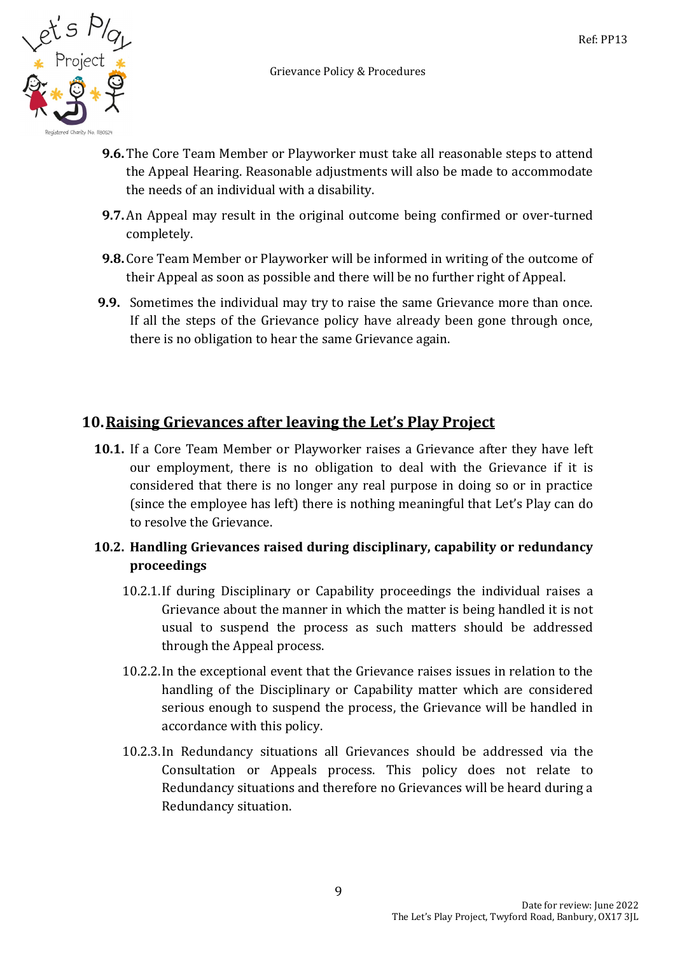

- **9.6.** The Core Team Member or Playworker must take all reasonable steps to attend the Appeal Hearing. Reasonable adjustments will also be made to accommodate the needs of an individual with a disability.
- **9.7.**An Appeal may result in the original outcome being confirmed or over-turned completely.
- **9.8.** Core Team Member or Playworker will be informed in writing of the outcome of their Appeal as soon as possible and there will be no further right of Appeal.
- **9.9.** Sometimes the individual may try to raise the same Grievance more than once. If all the steps of the Grievance policy have already been gone through once, there is no obligation to hear the same Grievance again.

## **10.Raising Grievances after leaving the Let's Play Project**

**10.1.** If a Core Team Member or Playworker raises a Grievance after they have left our employment, there is no obligation to deal with the Grievance if it is considered that there is no longer any real purpose in doing so or in practice (since the employee has left) there is nothing meaningful that Let's Play can do to resolve the Grievance.

## **10.2. Handling Grievances raised during disciplinary, capability or redundancy proceedings**

- 10.2.1.If during Disciplinary or Capability proceedings the individual raises a Grievance about the manner in which the matter is being handled it is not usual to suspend the process as such matters should be addressed through the Appeal process.
- 10.2.2.In the exceptional event that the Grievance raises issues in relation to the handling of the Disciplinary or Capability matter which are considered serious enough to suspend the process, the Grievance will be handled in accordance with this policy.
- 10.2.3.In Redundancy situations all Grievances should be addressed via the Consultation or Appeals process. This policy does not relate to Redundancy situations and therefore no Grievances will be heard during a Redundancy situation.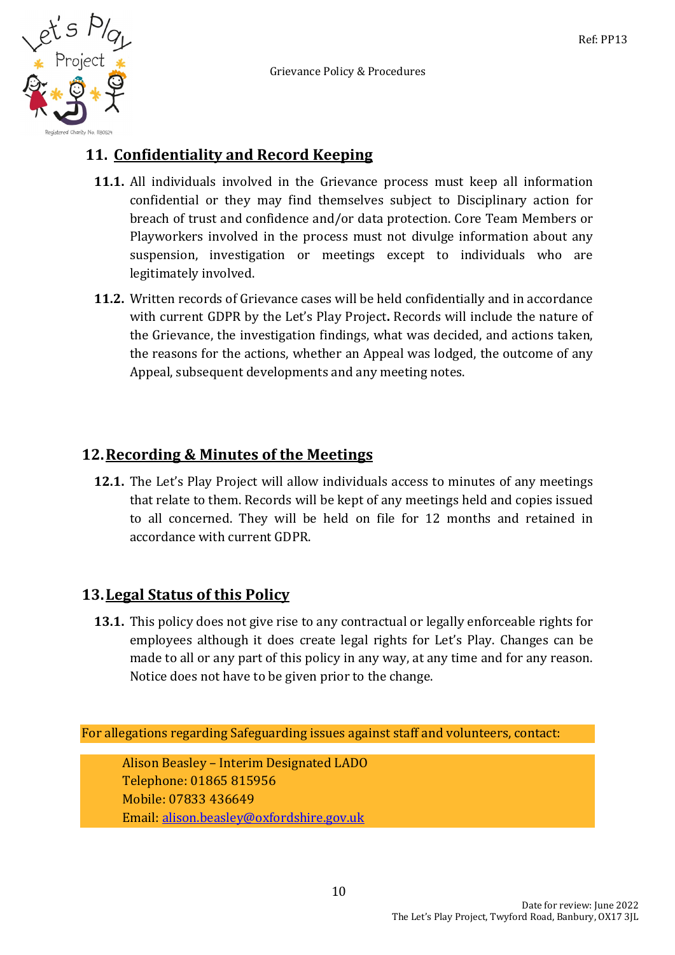

# **11. Confidentiality and Record Keeping**

- **11.1.** All individuals involved in the Grievance process must keep all information confidential or they may find themselves subject to Disciplinary action for breach of trust and confidence and/or data protection. Core Team Members or Playworkers involved in the process must not divulge information about any suspension, investigation or meetings except to individuals who are legitimately involved.
- **11.2.** Written records of Grievance cases will be held confidentially and in accordance with current GDPR by the Let's Play Project**.** Records will include the nature of the Grievance, the investigation findings, what was decided, and actions taken, the reasons for the actions, whether an Appeal was lodged, the outcome of any Appeal, subsequent developments and any meeting notes.

# **12.Recording & Minutes of the Meetings**

**12.1.** The Let's Play Project will allow individuals access to minutes of any meetings that relate to them. Records will be kept of any meetings held and copies issued to all concerned. They will be held on file for 12 months and retained in accordance with current GDPR.

# **13.Legal Status of this Policy**

**13.1.** This policy does not give rise to any contractual or legally enforceable rights for employees although it does create legal rights for Let's Play. Changes can be made to all or any part of this policy in any way, at any time and for any reason. Notice does not have to be given prior to the change.

For allegations regarding Safeguarding issues against staff and volunteers, contact:

Alison Beasley – Interim Designated LADO Telephone: 01865 815956 Mobile: 07833 436649 Email: [alison.beasley@oxfordshire.gov.uk](mailto:alison.beasley@oxfordshire.gov.uk)